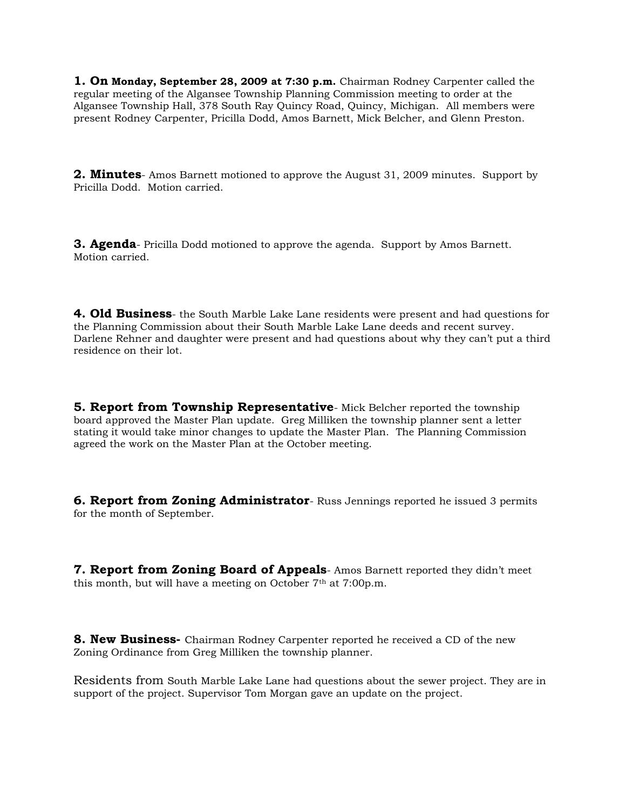**1. On Monday, September 28, 2009 at 7:30 p.m.** Chairman Rodney Carpenter called the regular meeting of the Algansee Township Planning Commission meeting to order at the Algansee Township Hall, 378 South Ray Quincy Road, Quincy, Michigan.All members were present Rodney Carpenter, Pricilla Dodd, Amos Barnett, Mick Belcher, and Glenn Preston.

**2. Minutes**- Amos Barnett motioned to approve the August 31, 2009 minutes. Support by Pricilla Dodd. Motion carried.

**3. Agenda**- Pricilla Dodd motioned to approve the agenda. Support by Amos Barnett. Motion carried.

**4. Old Business**- the South Marble Lake Lane residents were present and had questions for the Planning Commission about their South Marble Lake Lane deeds and recent survey. Darlene Rehner and daughter were present and had questions about why they can't put a third residence on their lot.

**5. Report from Township Representative**- Mick Belcher reported the township board approved the Master Plan update. Greg Milliken the township planner sent a letter stating it would take minor changes to update the Master Plan. The Planning Commission agreed the work on the Master Plan at the October meeting.

**6. Report from Zoning Administrator**- Russ Jennings reported he issued 3 permits for the month of September.

**7. Report from Zoning Board of Appeals**- Amos Barnett reported they didn't meet this month, but will have a meeting on October  $7<sup>th</sup>$  at  $7:00p.m.$ 

**8. New Business-** Chairman Rodney Carpenter reported he received a CD of the new Zoning Ordinance from Greg Milliken the township planner.

Residents from South Marble Lake Lane had questions about the sewer project. They are in support of the project. Supervisor Tom Morgan gave an update on the project.